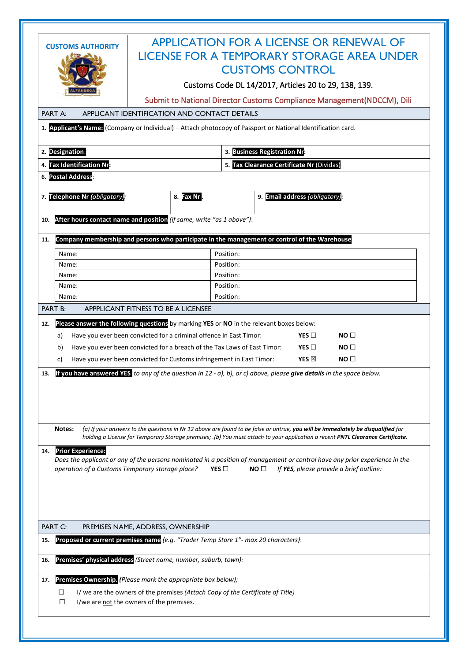|                                                                                                              | <b>APPLICATION FOR A LICENSE OR RENEWAL OF</b>                                                                                                                                                      |
|--------------------------------------------------------------------------------------------------------------|-----------------------------------------------------------------------------------------------------------------------------------------------------------------------------------------------------|
| <b>CUSTOMS AUTHORITY</b>                                                                                     | LICENSE FOR A TEMPORARY STORAGE AREA UNDER                                                                                                                                                          |
|                                                                                                              |                                                                                                                                                                                                     |
|                                                                                                              | <b>CUSTOMS CONTROL</b>                                                                                                                                                                              |
|                                                                                                              | Customs Code DL 14/2017, Articles 20 to 29, 138, 139.                                                                                                                                               |
|                                                                                                              | Submit to National Director Customs Compliance Management (NDCCM), Dili                                                                                                                             |
| APPLICANT IDENTIFICATION AND CONTACT DETAILS<br>PART A:                                                      |                                                                                                                                                                                                     |
| 1. Applicant's Name: (Company or Individual) - Attach photocopy of Passport or National Identification card. |                                                                                                                                                                                                     |
|                                                                                                              |                                                                                                                                                                                                     |
| 2. Designation:                                                                                              | 3. Business Registration Nr:                                                                                                                                                                        |
| 4. Tax Identification Nrs                                                                                    | 5. Tax Clearance Certificate Nr (Dividas)                                                                                                                                                           |
| 6. Postal Address:                                                                                           |                                                                                                                                                                                                     |
|                                                                                                              |                                                                                                                                                                                                     |
| 7. Telephone Nr (obligatory):<br>8. Fax Nr                                                                   | 9. Email address (obligatory):                                                                                                                                                                      |
|                                                                                                              |                                                                                                                                                                                                     |
| After hours contact name and position (if same, write "as 1 above"):<br>10.                                  |                                                                                                                                                                                                     |
|                                                                                                              |                                                                                                                                                                                                     |
| Company membership and persons who participate in the management or control of the Warehouse<br>11.          |                                                                                                                                                                                                     |
| Name:                                                                                                        | Position:                                                                                                                                                                                           |
| Name:                                                                                                        | Position:                                                                                                                                                                                           |
| Name:                                                                                                        | Position:                                                                                                                                                                                           |
| Name:                                                                                                        | Position:                                                                                                                                                                                           |
| Name:                                                                                                        | Position:                                                                                                                                                                                           |
| <b>PART B:</b><br>APPPLICANT FITNESS TO BE A LICENSEE                                                        |                                                                                                                                                                                                     |
| Please answer the following questions by marking YES or NO in the relevant boxes below:<br>12.               |                                                                                                                                                                                                     |
| Have you ever been convicted for a criminal offence in East Timor:<br>a)                                     | YES $\Box$<br>NO <sub>1</sub>                                                                                                                                                                       |
| Have you ever been convicted for a breach of the Tax Laws of East Timor:<br>b)                               | YES $\Box$<br>NO <sub>1</sub>                                                                                                                                                                       |
| Have you ever been convicted for Customs infringement in East Timor:<br>C)                                   | YES $\boxtimes$<br>NO <sub>1</sub>                                                                                                                                                                  |
| 13.                                                                                                          | If you have answered YES to any of the question in $12 - a$ ), b), or c) above, please give details in the space below.                                                                             |
|                                                                                                              |                                                                                                                                                                                                     |
|                                                                                                              |                                                                                                                                                                                                     |
|                                                                                                              |                                                                                                                                                                                                     |
|                                                                                                              |                                                                                                                                                                                                     |
| Notes:                                                                                                       | (a) If your answers to the questions in Nr 12 above are found to be false or untrue, you will be immediately be disqualified for                                                                    |
|                                                                                                              | holding a License for Temporary Storage premises; .(b) You must attach to your application a recent PNTL Clearance Certificate.                                                                     |
| <b>Prior Experience:</b><br>14.                                                                              |                                                                                                                                                                                                     |
|                                                                                                              | Does the applicant or any of the persons nominated in a position of management or control have any prior experience in the<br>YES $\square$<br>NO $\Box$<br>If YES, please provide a brief outline: |
| operation of a Customs Temporary storage place?                                                              |                                                                                                                                                                                                     |
|                                                                                                              |                                                                                                                                                                                                     |
|                                                                                                              |                                                                                                                                                                                                     |
|                                                                                                              |                                                                                                                                                                                                     |
| <b>PART C:</b><br>PREMISES NAME, ADDRESS, OWNERSHIP                                                          |                                                                                                                                                                                                     |
|                                                                                                              |                                                                                                                                                                                                     |
| Proposed or current premises name (e.g. "Trader Temp Store 1"- max 20 characters):<br>15.                    |                                                                                                                                                                                                     |
| Premises' physical address (Street name, number, suburb, town):<br>16.                                       |                                                                                                                                                                                                     |
| Premises Ownership. (Please mark the appropriate box below);<br>17.                                          |                                                                                                                                                                                                     |
| I/ we are the owners of the premises (Attach Copy of the Certificate of Title)<br>□                          |                                                                                                                                                                                                     |
| I/we are not the owners of the premises.<br>□                                                                |                                                                                                                                                                                                     |
|                                                                                                              |                                                                                                                                                                                                     |
|                                                                                                              |                                                                                                                                                                                                     |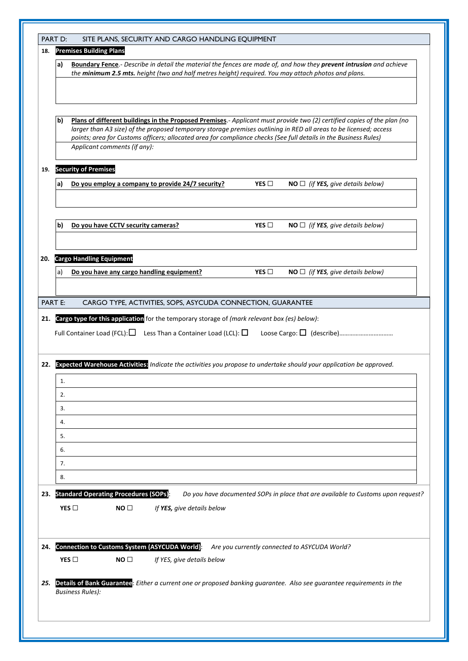| 18.                      |                | <b>Premises Building Plans</b>               |                                    |                                                                                                                                                                                                            |               |                                                                                                                                                                                                                                                                                                                                                                  |
|--------------------------|----------------|----------------------------------------------|------------------------------------|------------------------------------------------------------------------------------------------------------------------------------------------------------------------------------------------------------|---------------|------------------------------------------------------------------------------------------------------------------------------------------------------------------------------------------------------------------------------------------------------------------------------------------------------------------------------------------------------------------|
|                          | a)             |                                              |                                    | the minimum 2.5 mts. height (two and half metres height) required. You may attach photos and plans.                                                                                                        |               | Boundary Fence.- Describe in detail the material the fences are made of, and how they prevent intrusion and achieve                                                                                                                                                                                                                                              |
|                          | b)             |                                              | Applicant comments (if any):       |                                                                                                                                                                                                            |               | Plans of different buildings in the Proposed Premises.- Applicant must provide two (2) certified copies of the plan (no<br>larger than A3 size) of the proposed temporary storage premises outlining in RED all areas to be licensed; access<br>points; area for Customs officers; allocated area for compliance checks (See full details in the Business Rules) |
| 19.                      |                | <b>Security of Premises</b>                  |                                    |                                                                                                                                                                                                            |               |                                                                                                                                                                                                                                                                                                                                                                  |
|                          | a              |                                              |                                    | Do you employ a company to provide 24/7 security?                                                                                                                                                          | YES $\Box$    | $NO \square$ (if YES, give details below)                                                                                                                                                                                                                                                                                                                        |
|                          | b)             |                                              | Do you have CCTV security cameras? |                                                                                                                                                                                                            | YES $\square$ | $NO \square$ (if YES, give details below)                                                                                                                                                                                                                                                                                                                        |
|                          |                | 20. Cargo Handling Equipment                 |                                    |                                                                                                                                                                                                            |               |                                                                                                                                                                                                                                                                                                                                                                  |
|                          | a)             |                                              |                                    | Do you have any cargo handling equipment?                                                                                                                                                                  | YES $\square$ | $NO \square$ (if YES, give details below)                                                                                                                                                                                                                                                                                                                        |
|                          |                |                                              |                                    |                                                                                                                                                                                                            |               |                                                                                                                                                                                                                                                                                                                                                                  |
|                          |                |                                              |                                    |                                                                                                                                                                                                            |               |                                                                                                                                                                                                                                                                                                                                                                  |
|                          | <b>PART E:</b> | Full Container Load (FCL): $\Box$            |                                    | CARGO TYPE, ACTIVITIES, SOPS, ASYCUDA CONNECTION, GUARANTEE<br>Cargo type for this application for the temporary storage of (mark relevant box (es) below):<br>Less Than a Container Load (LCL): $\square$ |               |                                                                                                                                                                                                                                                                                                                                                                  |
|                          |                |                                              |                                    |                                                                                                                                                                                                            |               | Expected Warehouse Activities: Indicate the activities you propose to undertake should your application be approved.                                                                                                                                                                                                                                             |
|                          | 1.             |                                              |                                    |                                                                                                                                                                                                            |               |                                                                                                                                                                                                                                                                                                                                                                  |
|                          | 2.<br>3.       |                                              |                                    |                                                                                                                                                                                                            |               |                                                                                                                                                                                                                                                                                                                                                                  |
|                          | 4.             |                                              |                                    |                                                                                                                                                                                                            |               |                                                                                                                                                                                                                                                                                                                                                                  |
|                          | 5.             |                                              |                                    |                                                                                                                                                                                                            |               |                                                                                                                                                                                                                                                                                                                                                                  |
|                          | 6.             |                                              |                                    |                                                                                                                                                                                                            |               |                                                                                                                                                                                                                                                                                                                                                                  |
|                          | 7.             |                                              |                                    |                                                                                                                                                                                                            |               |                                                                                                                                                                                                                                                                                                                                                                  |
|                          | 8.             |                                              |                                    |                                                                                                                                                                                                            |               |                                                                                                                                                                                                                                                                                                                                                                  |
|                          |                | <b>Standard Operating Procedures (SOPs):</b> |                                    |                                                                                                                                                                                                            |               | Do you have documented SOPs in place that are available to Customs upon request?                                                                                                                                                                                                                                                                                 |
|                          |                | YES $\square$                                | NO <sub>1</sub>                    | If YES, give details below                                                                                                                                                                                 |               |                                                                                                                                                                                                                                                                                                                                                                  |
|                          |                |                                              |                                    | Connection to Customs System (ASYCUDA World):                                                                                                                                                              |               | Are you currently connected to ASYCUDA World?                                                                                                                                                                                                                                                                                                                    |
| 21.<br>22.<br>23.<br>24. |                | YES $\square$                                | NO <sub>1</sub>                    | If YES, give details below                                                                                                                                                                                 |               |                                                                                                                                                                                                                                                                                                                                                                  |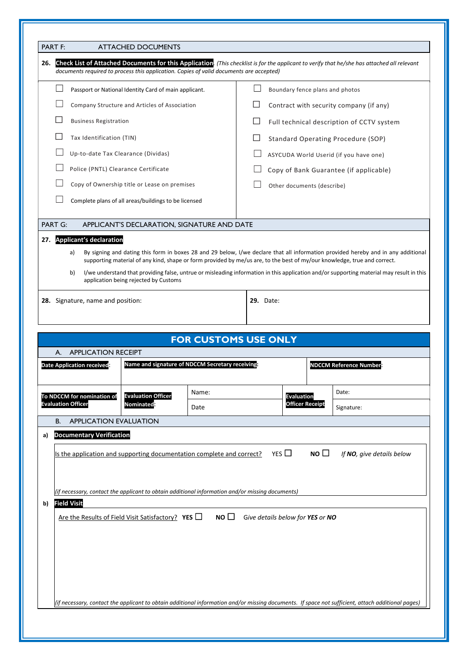|     | <b>PART F:</b>                                                                                                                                                                                                                         | <b>ATTACHED DOCUMENTS</b>                                                                                                                                                                                                                                     |                             |                                           |                                  |                        |                                         |  |
|-----|----------------------------------------------------------------------------------------------------------------------------------------------------------------------------------------------------------------------------------------|---------------------------------------------------------------------------------------------------------------------------------------------------------------------------------------------------------------------------------------------------------------|-----------------------------|-------------------------------------------|----------------------------------|------------------------|-----------------------------------------|--|
| 26. | Check List of Attached Documents for this Application. (This checklist is for the applicant to verify that he/she has attached all relevant<br>documents required to process this application. Copies of valid documents are accepted) |                                                                                                                                                                                                                                                               |                             |                                           |                                  |                        |                                         |  |
|     |                                                                                                                                                                                                                                        | Passport or National Identity Card of main applicant.                                                                                                                                                                                                         |                             |                                           | Boundary fence plans and photos  |                        |                                         |  |
|     |                                                                                                                                                                                                                                        | Company Structure and Articles of Association                                                                                                                                                                                                                 |                             |                                           |                                  |                        | Contract with security company (if any) |  |
|     | <b>Business Registration</b>                                                                                                                                                                                                           |                                                                                                                                                                                                                                                               |                             | Full technical description of CCTV system |                                  |                        |                                         |  |
|     | Tax Identification (TIN)                                                                                                                                                                                                               |                                                                                                                                                                                                                                                               |                             | Standard Operating Procedure (SOP)        |                                  |                        |                                         |  |
|     | Up-to-date Tax Clearance (Dividas)                                                                                                                                                                                                     |                                                                                                                                                                                                                                                               |                             |                                           |                                  |                        | ASYCUDA World Userid (if you have one)  |  |
|     | Police (PNTL) Clearance Certificate                                                                                                                                                                                                    |                                                                                                                                                                                                                                                               |                             |                                           |                                  |                        | Copy of Bank Guarantee (if applicable)  |  |
|     | Copy of Ownership title or Lease on premises                                                                                                                                                                                           |                                                                                                                                                                                                                                                               | Other documents (describe)  |                                           |                                  |                        |                                         |  |
|     |                                                                                                                                                                                                                                        | Complete plans of all areas/buildings to be licensed                                                                                                                                                                                                          |                             |                                           |                                  |                        |                                         |  |
|     | <b>PART G:</b>                                                                                                                                                                                                                         | APPLICANT'S DECLARATION, SIGNATURE AND DATE                                                                                                                                                                                                                   |                             |                                           |                                  |                        |                                         |  |
| 27. | <b>Applicant's declaration</b>                                                                                                                                                                                                         |                                                                                                                                                                                                                                                               |                             |                                           |                                  |                        |                                         |  |
|     | a)                                                                                                                                                                                                                                     | By signing and dating this form in boxes 28 and 29 below, I/we declare that all information provided hereby and in any additional<br>supporting material of any kind, shape or form provided by me/us are, to the best of my/our knowledge, true and correct. |                             |                                           |                                  |                        |                                         |  |
|     | b)                                                                                                                                                                                                                                     | I/we understand that providing false, untrue or misleading information in this application and/or supporting material may result in this<br>application being rejected by Customs                                                                             |                             |                                           |                                  |                        |                                         |  |
|     |                                                                                                                                                                                                                                        |                                                                                                                                                                                                                                                               |                             |                                           |                                  |                        |                                         |  |
|     | 28. Signature, name and position:                                                                                                                                                                                                      |                                                                                                                                                                                                                                                               |                             |                                           | <b>29.</b> Date:                 |                        |                                         |  |
|     |                                                                                                                                                                                                                                        |                                                                                                                                                                                                                                                               |                             |                                           |                                  |                        |                                         |  |
|     |                                                                                                                                                                                                                                        |                                                                                                                                                                                                                                                               |                             |                                           |                                  |                        |                                         |  |
|     |                                                                                                                                                                                                                                        |                                                                                                                                                                                                                                                               | <b>FOR CUSTOMS USE ONLY</b> |                                           |                                  |                        |                                         |  |
|     | <b>APPLICATION RECEIPT</b><br>А.                                                                                                                                                                                                       |                                                                                                                                                                                                                                                               |                             |                                           |                                  |                        |                                         |  |
|     | <b>Date Application received</b>                                                                                                                                                                                                       | Name and signature of NDCCM Secretary receiving:                                                                                                                                                                                                              |                             |                                           |                                  |                        | <b>NDCCM Reference Number</b>           |  |
|     |                                                                                                                                                                                                                                        |                                                                                                                                                                                                                                                               | Name:                       |                                           |                                  |                        | Date:                                   |  |
|     | To NDCCM for nomination of<br><b>Evaluation Officer</b>                                                                                                                                                                                | <b>Evaluation Officer</b><br><b>Nominated</b>                                                                                                                                                                                                                 | Date                        |                                           | <b>Evaluation</b>                | <b>Officer Receipt</b> | Signature:                              |  |
|     | <b>APPLICATION EVALUATION</b><br><b>B.</b>                                                                                                                                                                                             |                                                                                                                                                                                                                                                               |                             |                                           |                                  |                        |                                         |  |
| a)  | <b>Documentary Verification</b>                                                                                                                                                                                                        |                                                                                                                                                                                                                                                               |                             |                                           |                                  |                        |                                         |  |
|     | Is the application and supporting documentation complete and correct?                                                                                                                                                                  |                                                                                                                                                                                                                                                               |                             |                                           | YES $\Box$                       | NO $\square$           | If NO, give details below               |  |
|     |                                                                                                                                                                                                                                        |                                                                                                                                                                                                                                                               |                             |                                           |                                  |                        |                                         |  |
|     |                                                                                                                                                                                                                                        |                                                                                                                                                                                                                                                               |                             |                                           |                                  |                        |                                         |  |
|     | (if necessary, contact the applicant to obtain additional information and/or missing documents)                                                                                                                                        |                                                                                                                                                                                                                                                               |                             |                                           |                                  |                        |                                         |  |
| b)  | <b>Field Visit</b>                                                                                                                                                                                                                     |                                                                                                                                                                                                                                                               |                             |                                           |                                  |                        |                                         |  |
|     | Are the Results of Field Visit Satisfactory? YES $\Box$                                                                                                                                                                                |                                                                                                                                                                                                                                                               | NO <sub>1</sub>             |                                           | Give details below for YES or NO |                        |                                         |  |
|     |                                                                                                                                                                                                                                        |                                                                                                                                                                                                                                                               |                             |                                           |                                  |                        |                                         |  |
|     |                                                                                                                                                                                                                                        |                                                                                                                                                                                                                                                               |                             |                                           |                                  |                        |                                         |  |
|     |                                                                                                                                                                                                                                        |                                                                                                                                                                                                                                                               |                             |                                           |                                  |                        |                                         |  |
|     |                                                                                                                                                                                                                                        |                                                                                                                                                                                                                                                               |                             |                                           |                                  |                        |                                         |  |